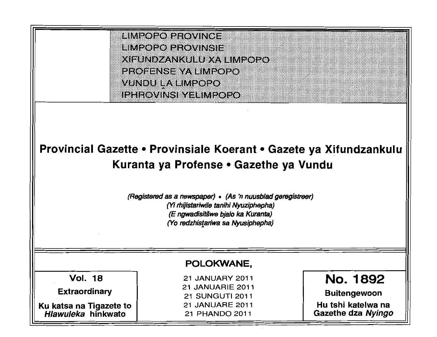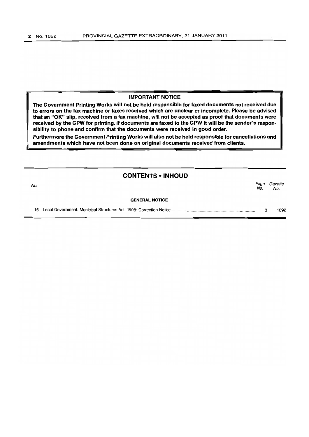#### IMPORTANT NOTICE

The Government Printing Works will not be held responsible for faxed documents not received due to errors on the fax machine or faxes received which are unclear or incomplete. Please be advised that an "OK" slip, received from a fax machine, will not be accepted as proof that documents were received by the GPW for printing. If documents are faxed to the GPW it will be the sender's respon· sibility to phone and confirm that the documents were received in good order.

Furthermore the Government Printing Works will also not be held responsible for cancellations and amendments which have not been done on original documents received from clients.

## CONTENTS • INHOUD

No. Page Gazette No. No.

#### **GENERAL NOTICE**

16 Local Government: Municipal Structures Act, 1998: Correction Notice ........................................................................ . 3 1892